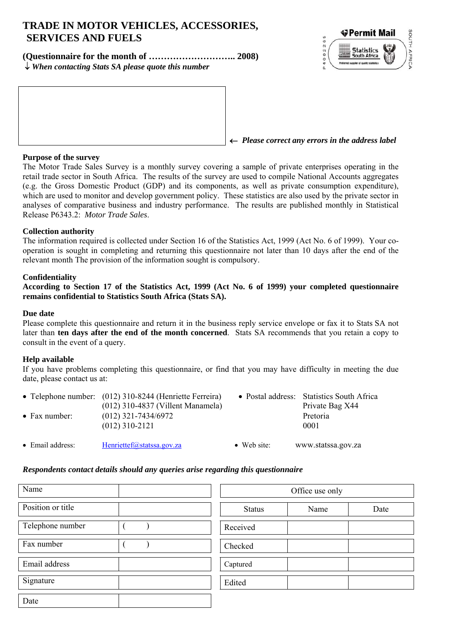# **TRADE IN MOTOR VEHICLES, ACCESSORIES, SERVICES AND FUELS**

**(Questionnaire for the month of ……………………….. 2008)** ↓ *When contacting Stats SA please quote this number*



← *Please correct any errors in the address label*

#### **Purpose of the survey**

The Motor Trade Sales Survey is a monthly survey covering a sample of private enterprises operating in the retail trade sector in South Africa. The results of the survey are used to compile National Accounts aggregates (e.g. the Gross Domestic Product (GDP) and its components, as well as private consumption expenditure), which are used to monitor and develop government policy. These statistics are also used by the private sector in analyses of comparative business and industry performance. The results are published monthly in Statistical Release P6343.2: *Motor Trade Sales*.

## **Collection authority**

The information required is collected under Section 16 of the Statistics Act, 1999 (Act No. 6 of 1999). Your cooperation is sought in completing and returning this questionnaire not later than 10 days after the end of the relevant month The provision of the information sought is compulsory.

### **Confidentiality**

**According to Section 17 of the Statistics Act, 1999 (Act No. 6 of 1999) your completed questionnaire remains confidential to Statistics South Africa (Stats SA).** 

#### **Due date**

Please complete this questionnaire and return it in the business reply service envelope or fax it to Stats SA not later than **ten days after the end of the month concerned**. Stats SA recommends that you retain a copy to consult in the event of a query.

#### **Help available**

If you have problems completing this questionnaire, or find that you may have difficulty in meeting the due date, please contact us at:

|                  | • Telephone number: $(012)$ 310-8244 (Henriette Ferreira) |                     | • Postal address: Statistics South Africa |
|------------------|-----------------------------------------------------------|---------------------|-------------------------------------------|
|                  | $(012)$ 310-4837 (Villent Manamela)                       |                     | Private Bag X44                           |
| • Fax number:    | $(012)$ 321-7434/6972<br>$(012)$ 310-2121                 |                     | Pretoria<br>0001                          |
| • Email address: | Henriettef@statssa.gov.za                                 | $\bullet$ Web site: | www.statssa.gov.za                        |

#### *Respondents contact details should any queries arise regarding this questionnaire*

| Name              |  | Office use only |      |      |
|-------------------|--|-----------------|------|------|
| Position or title |  | <b>Status</b>   | Name | Date |
| Telephone number  |  | Received        |      |      |
| Fax number        |  | Checked         |      |      |
| Email address     |  | Captured        |      |      |
| Signature         |  | Edited          |      |      |
| Date              |  |                 |      |      |